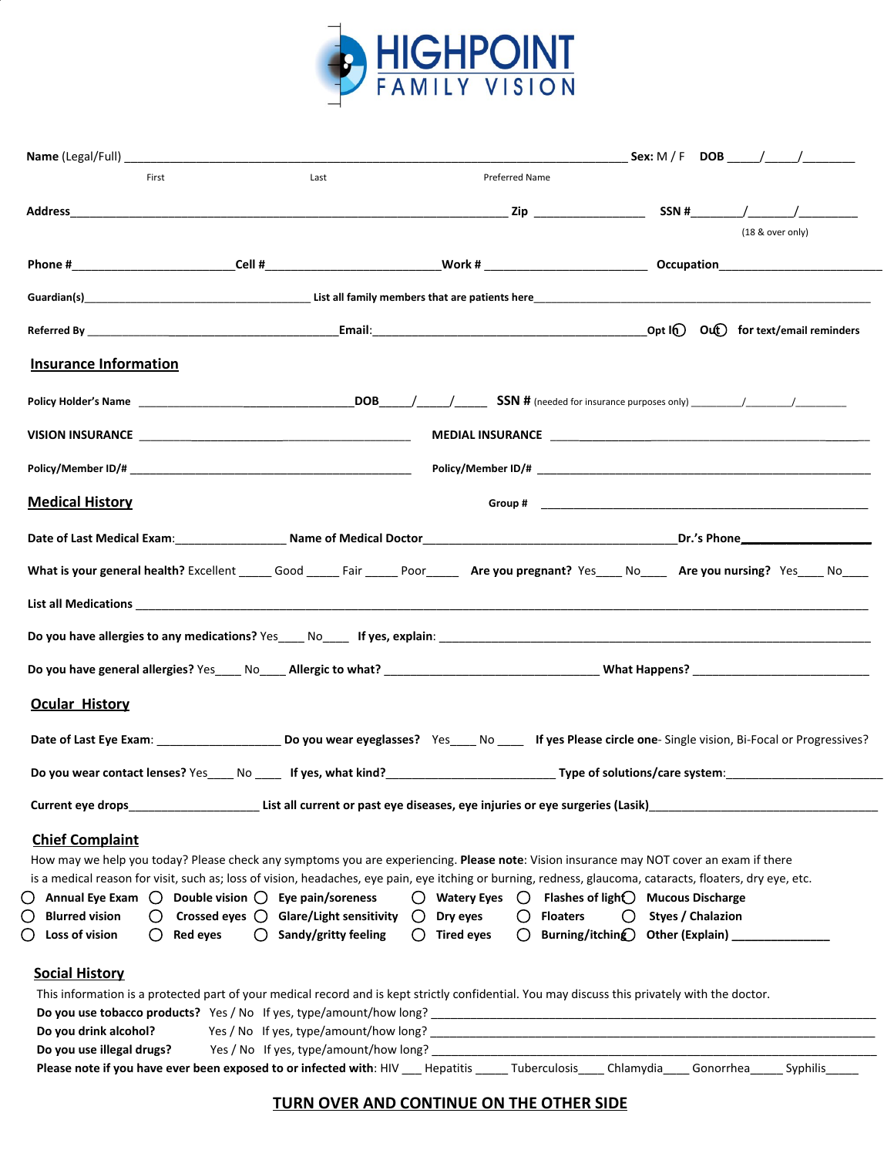

| First                                              | Last                                                                  | Preferred Name                                                                                                                                 |                                                                                                                                                                         |
|----------------------------------------------------|-----------------------------------------------------------------------|------------------------------------------------------------------------------------------------------------------------------------------------|-------------------------------------------------------------------------------------------------------------------------------------------------------------------------|
|                                                    |                                                                       |                                                                                                                                                |                                                                                                                                                                         |
|                                                    |                                                                       |                                                                                                                                                | (18 & over only)                                                                                                                                                        |
|                                                    |                                                                       |                                                                                                                                                |                                                                                                                                                                         |
|                                                    |                                                                       |                                                                                                                                                |                                                                                                                                                                         |
|                                                    |                                                                       |                                                                                                                                                |                                                                                                                                                                         |
| <b>Insurance Information</b>                       |                                                                       |                                                                                                                                                |                                                                                                                                                                         |
|                                                    |                                                                       |                                                                                                                                                |                                                                                                                                                                         |
|                                                    |                                                                       |                                                                                                                                                |                                                                                                                                                                         |
|                                                    |                                                                       |                                                                                                                                                |                                                                                                                                                                         |
| <b>Medical History</b>                             |                                                                       |                                                                                                                                                |                                                                                                                                                                         |
|                                                    |                                                                       |                                                                                                                                                |                                                                                                                                                                         |
|                                                    |                                                                       |                                                                                                                                                | What is your general health? Excellent _____ Good _____ Fair _____ Poor_____ Are you pregnant? Yes____ No____ Are you nursing? Yes____ No____                           |
|                                                    |                                                                       |                                                                                                                                                |                                                                                                                                                                         |
|                                                    |                                                                       |                                                                                                                                                |                                                                                                                                                                         |
|                                                    |                                                                       |                                                                                                                                                |                                                                                                                                                                         |
|                                                    |                                                                       |                                                                                                                                                |                                                                                                                                                                         |
|                                                    |                                                                       |                                                                                                                                                |                                                                                                                                                                         |
|                                                    |                                                                       |                                                                                                                                                |                                                                                                                                                                         |
|                                                    |                                                                       |                                                                                                                                                | Date of Last Eye Exam: __________________________________Do you wear eyeglasses? Yes______No _______ If yes Please circle one- Single vision, Bi-Focal or Progressives? |
|                                                    |                                                                       |                                                                                                                                                |                                                                                                                                                                         |
|                                                    |                                                                       |                                                                                                                                                |                                                                                                                                                                         |
| Current eye drops                                  |                                                                       | List all current or past eye diseases, eye injuries or eye surgeries (Lasik)                                                                   |                                                                                                                                                                         |
| <b>Chief Complaint</b>                             |                                                                       |                                                                                                                                                |                                                                                                                                                                         |
|                                                    |                                                                       | How may we help you today? Please check any symptoms you are experiencing. Please note: Vision insurance may NOT cover an exam if there        | is a medical reason for visit, such as; loss of vision, headaches, eye pain, eye itching or burning, redness, glaucoma, cataracts, floaters, dry eye, etc.              |
|                                                    | Annual Eye Exam $\bigcirc$ Double vision $\bigcirc$ Eye pain/soreness | $\bigcirc$ Watery Eyes $\bigcirc$ Flashes of ligh $\bigcirc$ Mucous Discharge                                                                  |                                                                                                                                                                         |
| <b>Blurred vision</b>                              | Crossed eyes $\bigcirc$ Glare/Light sensitivity $\bigcirc$            | <b>Floaters</b><br>Dry eyes                                                                                                                    | Styes / Chalazion<br>$\left( \right)$                                                                                                                                   |
| Loss of vision<br><b>Red eyes</b>                  | Sandy/gritty feeling<br>$\left( \right)$                              | <b>Tired eyes</b><br>$\left( \right)$<br>$\left( \ \right)$                                                                                    | Burning/itching Other (Explain)                                                                                                                                         |
| <b>Ocular History</b><br><b>Social History</b>     |                                                                       |                                                                                                                                                |                                                                                                                                                                         |
|                                                    |                                                                       | This information is a protected part of your medical record and is kept strictly confidential. You may discuss this privately with the doctor. |                                                                                                                                                                         |
|                                                    |                                                                       |                                                                                                                                                |                                                                                                                                                                         |
| Do you drink alcohol?<br>Do you use illegal drugs? |                                                                       | Yes / No If yes, type/amount/how long?                                                                                                         |                                                                                                                                                                         |

#### **TURN OVER AND CONTINUE ON THE OTHER SIDE**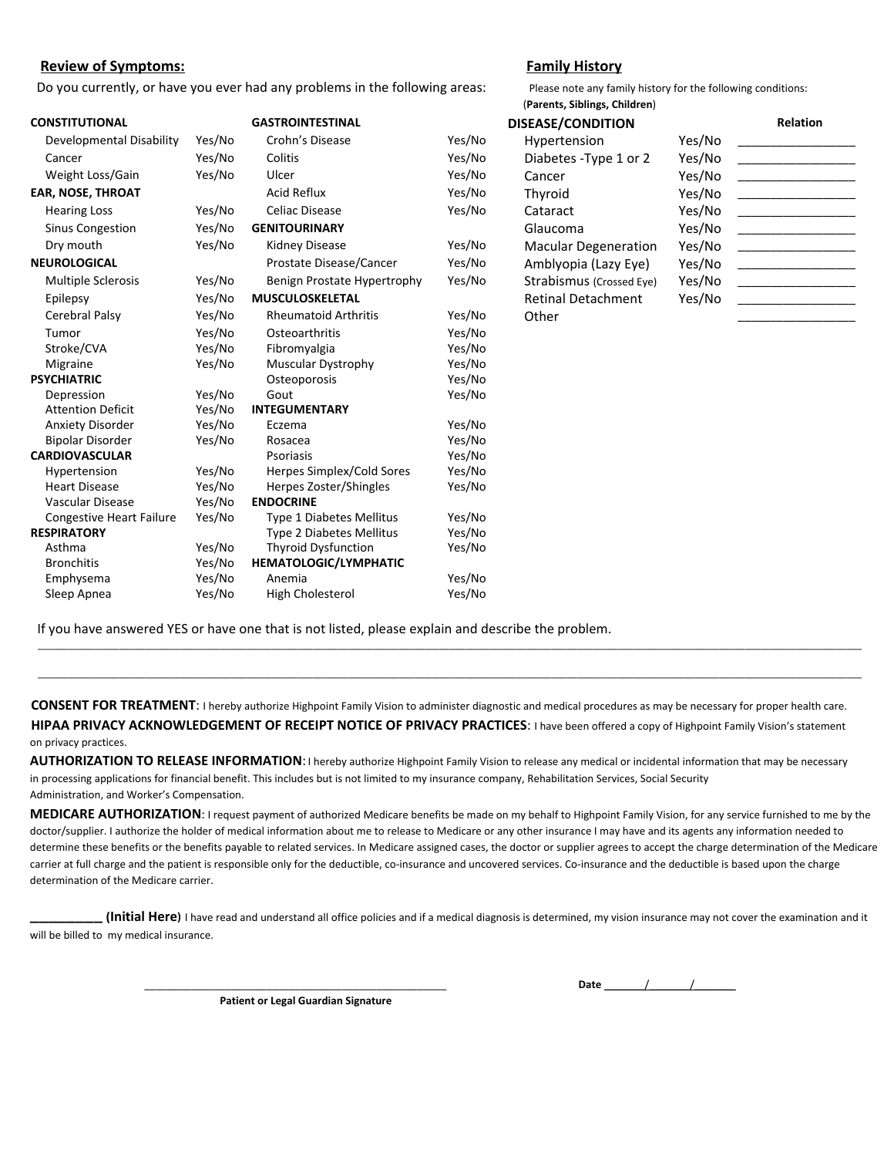#### **Review of Symptoms: Family History**

Do you currently, or have you ever had any problems in the following areas: Please note any family history for the following conditions:

#### (**Parents, Siblings, Children**) **CONSTITUTIONAL GASTROINTESTINAL DISEASE/CONDITION Relation** Developmental Disability Yes/No Crohn's Disease Yes/No Hypertension Yes/No Hypertension Cancer The Yes/No Colitis The Yes/No Diabetes -Type 1 or 2 Yes/No Weight Loss/Gain Yes/No Ulcer Yestro Yes/No Cancer Yes/No \_\_\_\_\_\_\_\_\_\_\_\_\_\_\_\_\_\_\_\_\_\_ **EAR, NOSE, THROAT Acid Reflux Yes/No Thyroid** Yes/No **Yes/No** Hearing Loss Yes/No Celiac Disease Yes/No Cataract Yes/No \_\_\_\_\_\_\_\_\_\_\_\_\_\_\_\_\_\_\_\_\_\_\_\_\_ Sinus Congestion Yes/No **GENITOURINARY Claucoma** Yes/No **\_\_\_\_\_\_\_\_\_\_\_\_\_\_\_**  Dry mouth Yes/No Kidney Disease Yes/No Macular Degeneration Yes/No \_\_\_\_\_\_\_\_\_\_\_\_\_\_\_\_\_\_ NEUROLOGICAL **WEUROLOGICAL** Prostate Disease/Cancer Yes/No Amblyopia (Lazy Eye) Yes/No Multiple Sclerosis Yes/No Benign Prostate Hypertrophy Yes/No Strabismus (Crossed Eye) Yes/No Epilepsy **Yes/No MUSCULOSKELETAL Retinal Detachment** Yes/No Cerebral Palsy The Yes/No Rheumatoid Arthritis The Yes/No Other Tumor Yes/No Osteoarthritis Yes/No Stroke/CVA Yes/No Fibromyalgia Yes/No Migraine Yes/No Muscular Dystrophy Yes/No<br>
PSYCHIATRIC Osteoporosis Yes/No **PSYCHIATRICATE:** PSYCHIATRIC Depression Yes/No Gout Yes/No Attention Deficit Yes/No **INTEGUMENTARY** Anxiety Disorder Yes/No Eczema Yes/No Bipolar Disorder Yes/No Rosacea Yes/No **CARDIOVASCULAR** Psoriasis Psoriasis Yes/No Hypertension Yes/No Herpes Simplex/Cold Sores Yes/No Heart Disease Yes/No Herpes Zoster/Shingles Yes/No Vascular Disease Yes/No **ENDOCRINE** Congestive Heart Failure Yes/No Type 1 Diabetes Mellitus Yes/No **RESPIRATORY** Type 2 Diabetes Mellitus Yes/No Asthma Yes/No Thyroid Dysfunction Yes/No Bronchitis Yes/No **HEMATOLOGIC/LYMPHATIC** Emphysema Yes/No Anemia Yes/No Sleep Apnea Yes/No High Cholesterol Yes/No

If you have answered YES or have one that is not listed, please explain and describe the problem.

**CONSENT FOR TREATMENT**: I hereby authorize Highpoint Family Vision to administer diagnostic and medical procedures as may be necessary for proper health care. **HIPAA PRIVACY ACKNOWLEDGEMENT OF RECEIPT NOTICE OF PRIVACY PRACTICES**: I have been offered a copy of Highpoint Family Vision's statement on privacy practices.

\_\_\_\_\_\_\_\_\_\_\_\_\_\_\_\_\_\_\_\_\_\_\_\_\_\_\_\_\_\_\_\_\_\_\_\_\_\_\_\_\_\_\_\_\_\_\_\_\_\_\_\_\_\_\_\_\_\_\_\_\_\_\_\_\_\_\_\_\_\_\_\_\_\_\_\_\_\_\_\_\_\_\_\_\_\_\_\_\_\_\_\_\_\_\_\_\_\_\_\_\_\_\_\_\_\_\_\_\_\_\_\_\_\_\_\_\_\_\_\_\_\_\_\_\_\_\_\_\_\_\_\_\_\_\_\_\_\_\_\_\_\_\_\_\_\_\_\_\_\_\_\_\_\_\_\_\_\_\_\_\_\_ \_\_\_\_\_\_\_\_\_\_\_\_\_\_\_\_\_\_\_\_\_\_\_\_\_\_\_\_\_\_\_\_\_\_\_\_\_\_\_\_\_\_\_\_\_\_\_\_\_\_\_\_\_\_\_\_\_\_\_\_\_\_\_\_\_\_\_\_\_\_\_\_\_\_\_\_\_\_\_\_\_\_\_\_\_\_\_\_\_\_\_\_\_\_\_\_\_\_\_\_\_\_\_\_\_\_\_\_\_\_\_\_\_\_\_\_\_\_\_\_\_\_\_\_\_\_\_\_\_\_\_\_\_\_\_\_\_\_\_\_\_\_\_\_\_\_\_\_\_\_\_\_\_\_\_\_\_\_\_\_\_\_

**AUTHORIZATION TO RELEASE INFORMATION**: I hereby authorize Highpoint Family Vision to release any medical or incidental information that may be necessary in processing applications for financial benefit. This includes but is not limited to my insurance company, Rehabilitation Services, Social Security Administration, and Worker's Compensation.

**MEDICARE AUTHORIZATION**: I request payment of authorized Medicare benefits be made on my behalf to Highpoint Family Vision, for any service furnished to me by the doctor/supplier. I authorize the holder of medical information about me to release to Medicare or any other insurance I may have and its agents any information needed to determine these benefits or the benefits payable to related services. In Medicare assigned cases, the doctor or supplier agrees to accept the charge determination of the Medicare carrier at full charge and the patient is responsible only for the deductible, co-insurance and uncovered services. Co-insurance and the deductible is based upon the charge determination of the Medicare carrier.

\_\_\_\_\_\_\_\_ **(Initial Here)** I have read and understand all office policies and if a medical diagnosis is determined, my vision insurance may not cover the examination and it will be billed to my medical insurance.

\_\_\_\_\_\_\_\_\_\_\_\_\_\_\_\_\_\_\_\_\_\_\_\_\_\_\_\_\_\_\_\_\_\_\_\_\_\_\_\_\_\_\_\_\_\_\_\_\_\_\_\_ **Date** \_\_\_\_\_\_\_/\_\_\_\_\_\_\_/\_\_\_\_\_\_\_

**Patient or Legal Guardian Signature**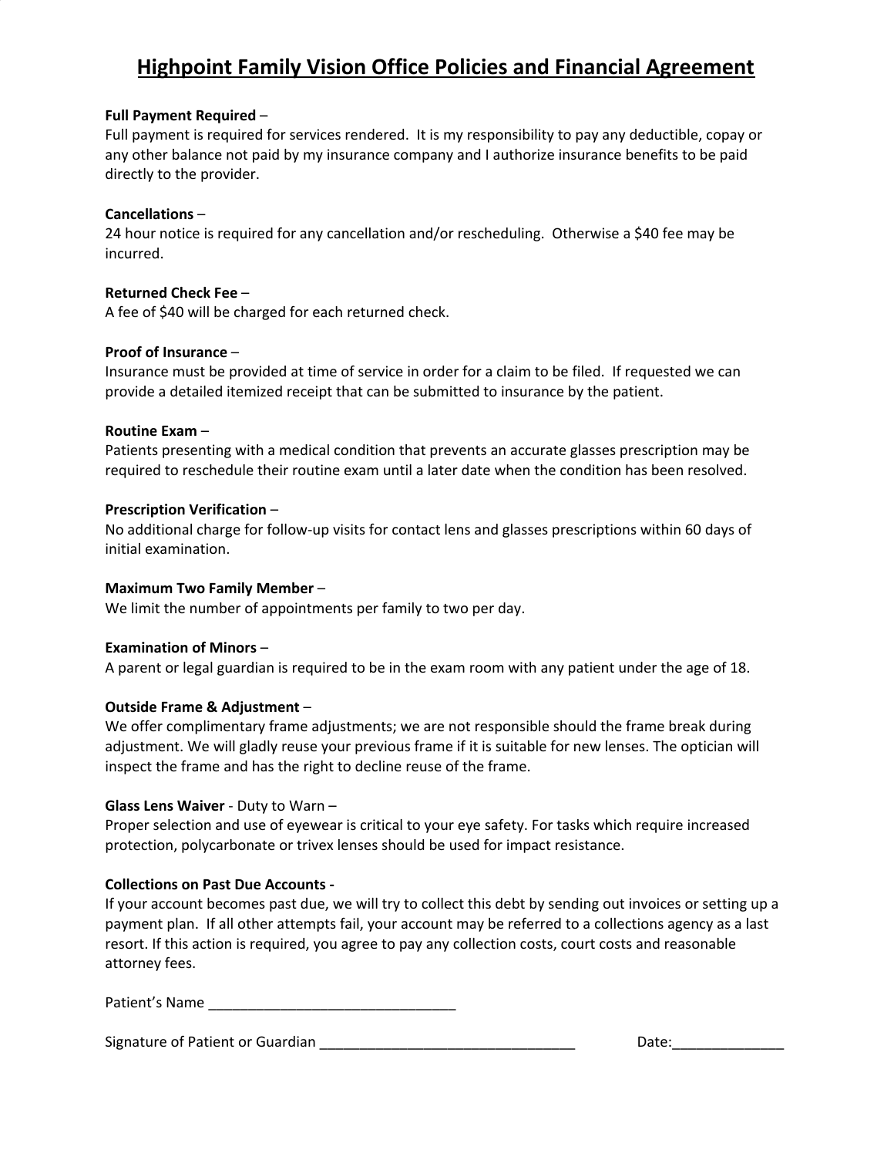# **Highpoint Family Vision Office Policies and Financial Agreement**

#### **Full Payment Required** –

Full payment is required for services rendered. It is my responsibility to pay any deductible, copay or any other balance not paid by my insurance company and I authorize insurance benefits to be paid directly to the provider.

#### **Cancellations** –

24 hour notice is required for any cancellation and/or rescheduling. Otherwise a \$40 fee may be incurred.

#### **Returned Check Fee** –

A fee of \$40 will be charged for each returned check.

#### **Proof of Insurance** –

Insurance must be provided at time of service in order for a claim to be filed. If requested we can provide a detailed itemized receipt that can be submitted to insurance by the patient.

#### **Routine Exam** –

Patients presenting with a medical condition that prevents an accurate glasses prescription may be required to reschedule their routine exam until a later date when the condition has been resolved.

#### **Prescription Verification** –

No additional charge for follow-up visits for contact lens and glasses prescriptions within 60 days of initial examination.

#### **Maximum Two Family Member** –

We limit the number of appointments per family to two per day.

#### **Examination of Minors** –

A parent or legal guardian is required to be in the exam room with any patient under the age of 18.

#### **Outside Frame & Adjustment** –

We offer complimentary frame adjustments; we are not responsible should the frame break during adjustment. We will gladly reuse your previous frame if it is suitable for new lenses. The optician will inspect the frame and has the right to decline reuse of the frame.

#### **Glass Lens Waiver** - Duty to Warn –

Proper selection and use of eyewear is critical to your eye safety. For tasks which require increased protection, polycarbonate or trivex lenses should be used for impact resistance.

#### **Collections on Past Due Accounts -**

If your account becomes past due, we will try to collect this debt by sending out invoices or setting up a payment plan. If all other attempts fail, your account may be referred to a collections agency as a last resort. If this action is required, you agree to pay any collection costs, court costs and reasonable attorney fees.

Signature of Patient or Guardian \_\_\_\_\_\_\_\_\_\_\_\_\_\_\_\_\_\_\_\_\_\_\_\_\_\_\_\_\_\_\_\_ Date:\_\_\_\_\_\_\_\_\_\_\_\_\_\_